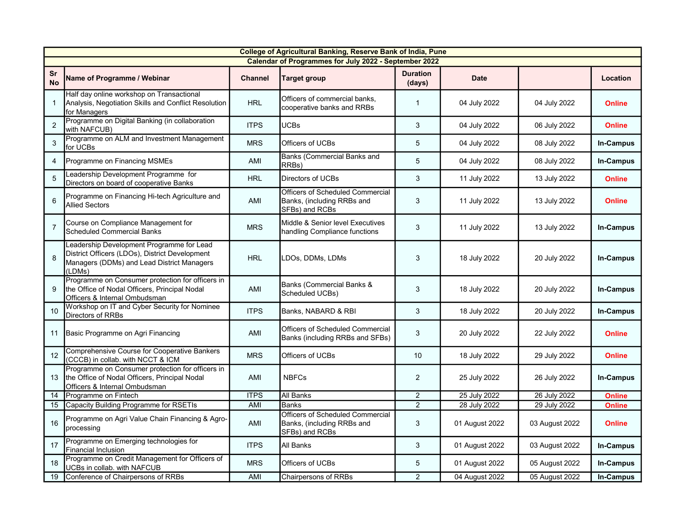| College of Agricultural Banking, Reserve Bank of India, Pune |                                                                                                                                                     |                |                                                                                         |                           |                |                |                  |  |  |  |  |  |
|--------------------------------------------------------------|-----------------------------------------------------------------------------------------------------------------------------------------------------|----------------|-----------------------------------------------------------------------------------------|---------------------------|----------------|----------------|------------------|--|--|--|--|--|
| Calendar of Programmes for July 2022 - September 2022        |                                                                                                                                                     |                |                                                                                         |                           |                |                |                  |  |  |  |  |  |
| <b>Sr</b><br><b>No</b>                                       | Name of Programme / Webinar                                                                                                                         | <b>Channel</b> | <b>Target group</b>                                                                     | <b>Duration</b><br>(days) | <b>Date</b>    |                | Location         |  |  |  |  |  |
| $\mathbf{1}$                                                 | Half day online workshop on Transactional<br>Analysis, Negotiation Skills and Conflict Resolution<br>for Managers                                   | <b>HRL</b>     | Officers of commercial banks,<br>cooperative banks and RRBs                             | $\overline{1}$            | 04 July 2022   | 04 July 2022   | <b>Online</b>    |  |  |  |  |  |
| $\overline{2}$                                               | Programme on Digital Banking (in collaboration<br>with NAFCUB)                                                                                      | <b>ITPS</b>    | <b>UCBs</b>                                                                             | 3                         | 04 July 2022   | 06 July 2022   | <b>Online</b>    |  |  |  |  |  |
| 3                                                            | Programme on ALM and Investment Management<br>for UCBs                                                                                              | <b>MRS</b>     | Officers of UCBs                                                                        | $\sqrt{5}$                | 04 July 2022   | 08 July 2022   | <b>In-Campus</b> |  |  |  |  |  |
| $\overline{4}$                                               | Programme on Financing MSMEs                                                                                                                        | AMI            | Banks (Commercial Banks and<br>RRBs)                                                    | 5                         | 04 July 2022   | 08 July 2022   | <b>In-Campus</b> |  |  |  |  |  |
| 5                                                            | Leadership Development Programme for<br>Directors on board of cooperative Banks                                                                     | <b>HRL</b>     | Directors of UCBs                                                                       | 3                         | 11 July 2022   | 13 July 2022   | <b>Online</b>    |  |  |  |  |  |
| 6                                                            | Programme on Financing Hi-tech Agriculture and<br><b>Allied Sectors</b>                                                                             | AMI            | <b>Officers of Scheduled Commercial</b><br>Banks, (including RRBs and<br>SFBs) and RCBs | 3                         | 11 July 2022   | 13 July 2022   | <b>Online</b>    |  |  |  |  |  |
| $\overline{7}$                                               | Course on Compliance Management for<br>Scheduled Commercial Banks                                                                                   | <b>MRS</b>     | Middle & Senior level Executives<br>handling Compliance functions                       | 3                         | 11 July 2022   | 13 July 2022   | <b>In-Campus</b> |  |  |  |  |  |
| $\mathbf{8}$                                                 | Leadership Development Programme for Lead<br>District Officers (LDOs), District Development<br>Managers (DDMs) and Lead District Managers<br>(LDMs) | <b>HRL</b>     | LDOs, DDMs, LDMs                                                                        | $\sqrt{3}$                | 18 July 2022   | 20 July 2022   | <b>In-Campus</b> |  |  |  |  |  |
| 9                                                            | Programme on Consumer protection for officers in<br>the Office of Nodal Officers, Principal Nodal<br>Officers & Internal Ombudsman                  | AMI            | Banks (Commercial Banks &<br>Scheduled UCBs)                                            | 3                         | 18 July 2022   | 20 July 2022   | <b>In-Campus</b> |  |  |  |  |  |
| 10                                                           | Workshop on IT and Cyber Security for Nominee<br>Directors of RRBs                                                                                  | <b>ITPS</b>    | Banks, NABARD & RBI                                                                     | $\mathbf{3}$              | 18 July 2022   | 20 July 2022   | <b>In-Campus</b> |  |  |  |  |  |
| 11                                                           | Basic Programme on Agri Financing                                                                                                                   | AMI            | Officers of Scheduled Commercial<br>Banks (including RRBs and SFBs)                     | 3                         | 20 July 2022   | 22 July 2022   | <b>Online</b>    |  |  |  |  |  |
| 12                                                           | Comprehensive Course for Cooperative Bankers<br>(CCCB) in collab. with NCCT & ICM                                                                   | <b>MRS</b>     | Officers of UCBs                                                                        | 10                        | 18 July 2022   | 29 July 2022   | <b>Online</b>    |  |  |  |  |  |
| 13                                                           | Programme on Consumer protection for officers in<br>the Office of Nodal Officers, Principal Nodal<br>Officers & Internal Ombudsman                  | AMI            | <b>NBFCs</b>                                                                            | 2                         | 25 July 2022   | 26 July 2022   | In-Campus        |  |  |  |  |  |
| 14                                                           | Programme on Fintech                                                                                                                                | <b>ITPS</b>    | All Banks                                                                               | $\overline{2}$            | 25 July 2022   | 26 July 2022   | <b>Online</b>    |  |  |  |  |  |
| 15                                                           | Capacity Building Programme for RSETIs                                                                                                              | AMI            | <b>Banks</b>                                                                            | $\overline{2}$            | 28 July 2022   | 29 July 2022   | <b>Online</b>    |  |  |  |  |  |
| 16                                                           | Programme on Agri Value Chain Financing & Agro-<br>processing                                                                                       | AMI            | Officers of Scheduled Commercial<br>Banks, (including RRBs and<br>SFBs) and RCBs        | 3                         | 01 August 2022 | 03 August 2022 | <b>Online</b>    |  |  |  |  |  |
| 17                                                           | Programme on Emerging technologies for<br><b>Financial Inclusion</b>                                                                                | <b>ITPS</b>    | All Banks                                                                               | 3                         | 01 August 2022 | 03 August 2022 | <b>In-Campus</b> |  |  |  |  |  |
| 18                                                           | Programme on Credit Management for Officers of<br>UCBs in collab. with NAFCUB                                                                       | <b>MRS</b>     | Officers of UCBs                                                                        | 5                         | 01 August 2022 | 05 August 2022 | <b>In-Campus</b> |  |  |  |  |  |
| 19                                                           | Conference of Chairpersons of RRBs                                                                                                                  | AMI            | <b>Chairpersons of RRBs</b>                                                             | $\overline{c}$            | 04 August 2022 | 05 August 2022 | <b>In-Campus</b> |  |  |  |  |  |